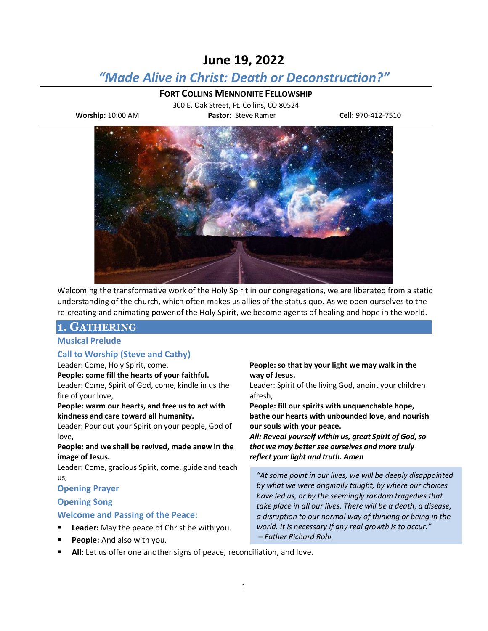# **June 19, 2022**

# *"Made Alive in Christ: Death or Deconstruction?"*

### **FORT COLLINS MENNONITE FELLOWSHIP**

300 E. Oak Street, Ft. Collins, CO 80524 **Worship:** 10:00 AM **Pastor:** Steve Ramer **Cell:** 970-412-7510



Welcoming the transformative work of the Holy Spirit in our congregations, we are liberated from a static understanding of the church, which often makes us allies of the status quo. As we open ourselves to the re-creating and animating power of the Holy Spirit, we become agents of healing and hope in the world.

## **1. GATHERING**

### **Musical Prelude**

### **Call to Worship (Steve and Cathy)**

#### Leader: Come, Holy Spirit, come,

**People: come fill the hearts of your faithful.**

Leader: Come, Spirit of God, come, kindle in us the fire of your love,

#### **People: warm our hearts, and free us to act with kindness and care toward all humanity.**

Leader: Pour out your Spirit on your people, God of love,

### **People: and we shall be revived, made anew in the image of Jesus.**

Leader: Come, gracious Spirit, come, guide and teach us,

### **Opening Prayer**

### **Opening Song**

### **Welcome and Passing of the Peace:**

- Leader: May the peace of Christ be with you.
- People: And also with you.
- All: Let us offer one another signs of peace, reconciliation, and love.

**People: so that by your light we may walk in the way of Jesus.**

Leader: Spirit of the living God, anoint your children afresh,

**People: fill our spirits with unquenchable hope, bathe our hearts with unbounded love, and nourish our souls with your peace.**

*All: Reveal yourself within us, great Spirit of God, so that we may better see ourselves and more truly reflect your light and truth. Amen*

*"At some point in our lives, we will be deeply disappointed by what we were originally taught, by where our choices have led us, or by the seemingly random tragedies that take place in all our lives. There will be a death, a disease, a disruption to our normal way of thinking or being in the world. It is necessary if any real growth is to occur." – Father Richard Rohr*